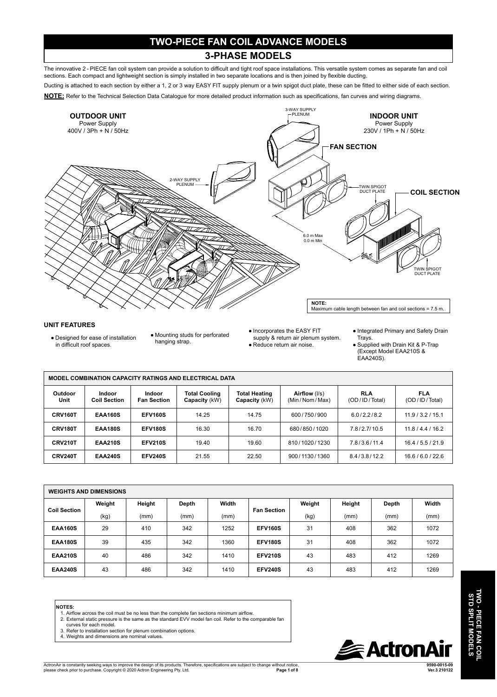### **TWO-PIECE FAN COIL ADVANCE MODELS**

#### **3-PHASE MODELS**

The innovative 2 - PIECE fan coil system can provide a solution to difficult and tight roof space installations. This versatile system comes as separate fan and coil sections. Each compact and lightweight section is simply installed in two separate locations and is then joined by flexible ducting.

Ducting is attached to each section by either a 1, 2 or 3 way EASY FIT supply plenum or a twin spigot duct plate, these can be fitted to either side of each section.





#### **UNIT FEATURES**

● Designed for ease of installation in difficult roof spaces.

● Mounting studs for perforated hanging strap.

● Incorporates the EASY FIT supply & return air plenum system. ● Reduce return air noise.

- Integrated Primary and Safety Drain Trays.
- Supplied with Drain Kit & P-Trap (Except Model EAA210S & EAA240S).

| MODEL COMBINATION CAPACITY RATINGS AND ELECTRICAL DATA |                               |                              |                                       |                                       |                                |                             |                             |  |  |  |
|--------------------------------------------------------|-------------------------------|------------------------------|---------------------------------------|---------------------------------------|--------------------------------|-----------------------------|-----------------------------|--|--|--|
| Outdoor<br>Unit                                        | Indoor<br><b>Coil Section</b> | Indoor<br><b>Fan Section</b> | <b>Total Cooling</b><br>Capacity (kW) | <b>Total Heating</b><br>Capacity (kW) | Airflow (I/s)<br>(Min/Nom/Max) | <b>RLA</b><br>(OD/ID/Total) | <b>FLA</b><br>(OD/ID/Total) |  |  |  |
| CRV160T                                                | <b>EAA160S</b>                | <b>EFV160S</b>               | 14.25                                 | 14.75                                 | 600/750/900                    | 6.0/2.2/8.2                 | 11.9/3.2/15.1               |  |  |  |
| CRV180T                                                | <b>EAA180S</b>                | <b>EFV180S</b>               | 16.30                                 | 16.70                                 | 680/850/1020                   | 7.8/2.7/10.5                | 11.8/4.4/16.2               |  |  |  |
| CRV210T                                                | <b>EAA210S</b>                | <b>EFV210S</b>               | 19.40                                 | 19.60                                 | 810/1020/1230                  | 7.8/3.6/11.4                | 16.4/5.5/21.9               |  |  |  |
| <b>CRV240T</b>                                         | <b>EAA240S</b>                | <b>EFV240S</b>               | 21.55                                 | 22.50                                 | 900/1130/1360                  | 8.4/3.8/12.2                | 16.6/6.0/22.6               |  |  |  |

| <b>WEIGHTS AND DIMENSIONS</b> |        |        |       |       |                    |        |        |       |       |
|-------------------------------|--------|--------|-------|-------|--------------------|--------|--------|-------|-------|
| <b>Coil Section</b>           | Weight | Height | Depth | Width |                    | Weight | Height | Depth | Width |
|                               | (kg)   | (mm)   | (mm)  | (mm)  | <b>Fan Section</b> | (kg)   | (mm)   | (mm)  | (mm)  |
| <b>EAA160S</b>                | 29     | 410    | 342   | 1252  | <b>EFV160S</b>     | 31     | 408    | 362   | 1072  |
| <b>EAA180S</b>                | 39     | 435    | 342   | 1360  | <b>EFV180S</b>     | 31     | 408    | 362   | 1072  |
| <b>EAA210S</b>                | 40     | 486    | 342   | 1410  | <b>EFV210S</b>     | 43     | 483    | 412   | 1269  |
| <b>EAA240S</b>                | 43     | 486    | 342   | 1410  | <b>EFV240S</b>     | 43     | 483    | 412   | 1269  |

#### **NOTES:**

- 1. Airflow across the coil must be no less than the complete fan sections minimum airflow.
- 2. External static pressure is the same as the standard EVV model fan coil. Refer to the comparable fan curves for each model.
- 3. Refer to installation section for plenum combination options.
- 4. Weights and dimensions are nominal values.

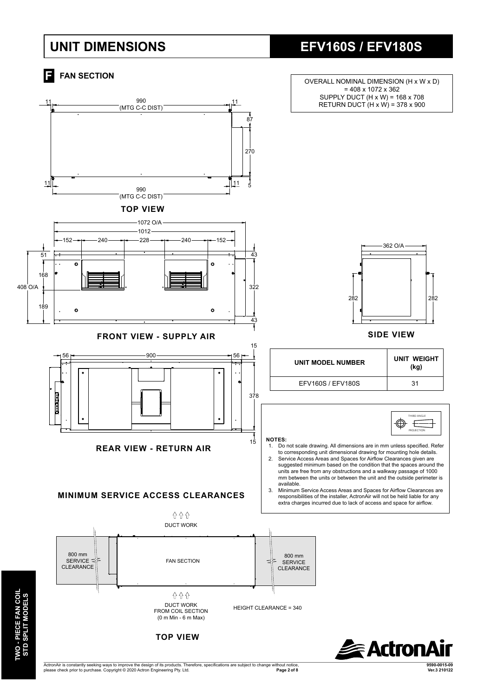### **UNIT DIMENSIONS**





**Exactron** 

ActronAir is constantly seeking ways to improve the design of its products. Therefore, specifications are subject to change without notice, please check prior to purchase. Copyright © 2020 Actron Engineering Pty. Ltd.  $Page 2 of 8$ 

**TOP VIEW**

**9590-0015-09**

# **EFV160S / EFV180S**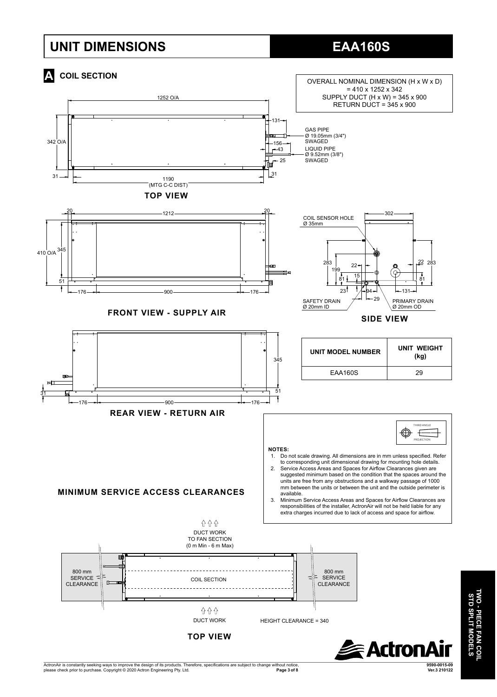## **UNIT DIMENSIONS**

# **EAA160S**



ActronAir is constantly seeking ways to improve the design of its products. Therefore, specifications are subject to change without notice,<br>Page 3 of 8 يعرف Page 3 of 8 **9590-0015-09 Page 3 of 8 Ver.3 210122**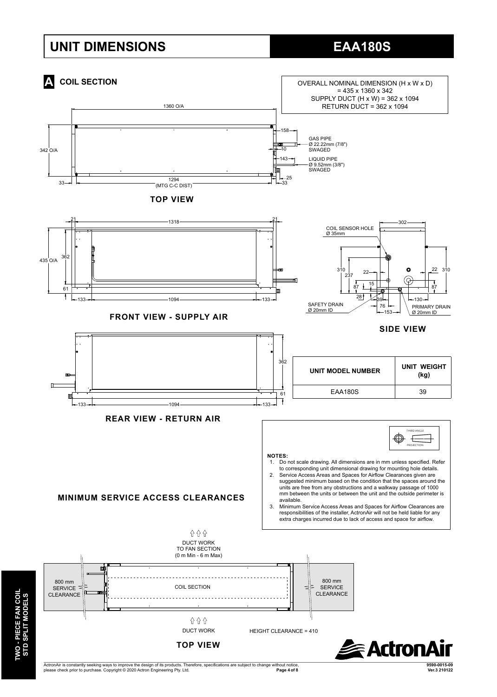# **UNIT DIMENSIONS EAA180S**



please check prior to purchase. Copyright © 2020 Actron Engineering Pty. Ltd.

**TWO - PIECE FAN COIL STD SPLIT MODELS**

**TWO - PIECE FAN COIL<br>STD SPLIT MODELS** 

 $Page 4 of 8$ 

**9590-0015-09**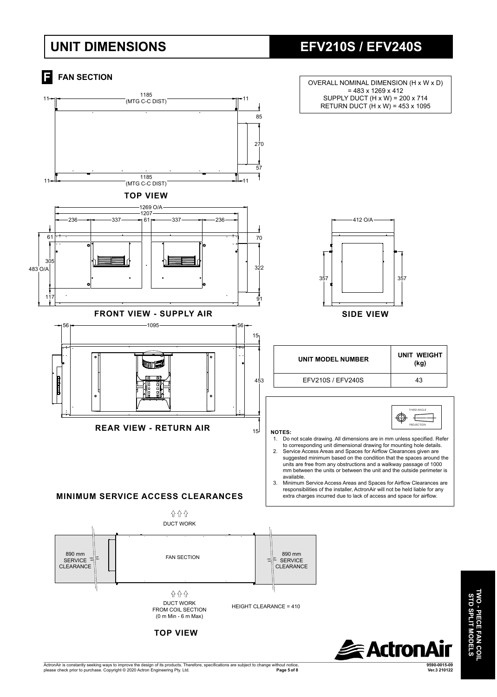# **UNIT DIMENSIONS EFV210S / EFV240S**

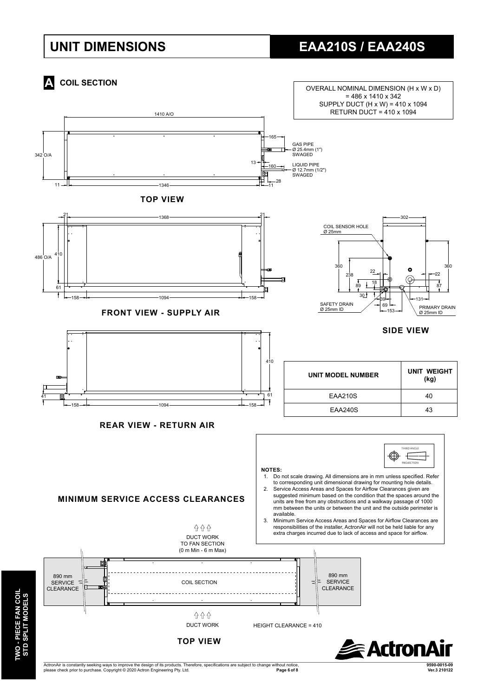# **UNIT DIMENSIONS EAA210S / EAA240S**



ActronAir is constantly seeking ways to improve the design of its products. Therefore, specifications are subject to change without notice, please check prior to purchase. Copyright © 2020 Actron Engineering Pty. Ltd. **Page 6 of 8** 

**TWO - PIECE FAN COIL** 

**9590-0015-09**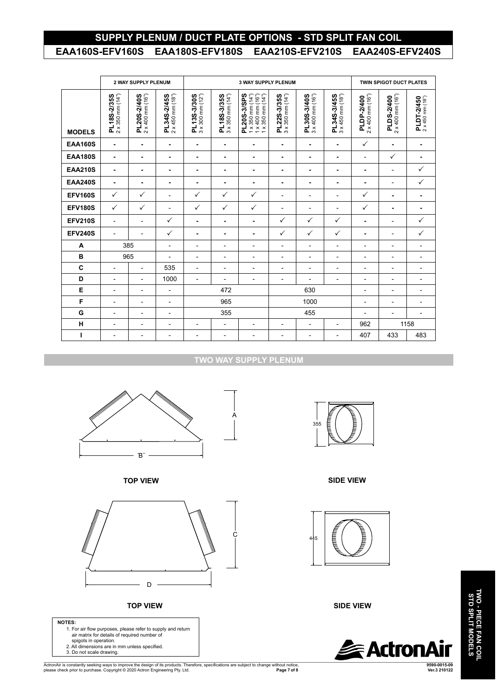### **SUPPLY PLENUM / DUCT PLATE OPTIONS - STD SPLIT FAN COIL EAA160S-EFV160S EAA180S-EFV180S EAA210S-EFV210S EAA240S-EFV240S**

|                | 2 WAY SUPPLY PLENUM                      |                                          |                                          | <b>3 WAY SUPPLY PLENUM</b>                                 |                                          |                                                                                                                                  |                                                    |                                          |                                          | <b>TWIN SPIGOT DUCT PLATES</b>          |                                         |                                                |
|----------------|------------------------------------------|------------------------------------------|------------------------------------------|------------------------------------------------------------|------------------------------------------|----------------------------------------------------------------------------------------------------------------------------------|----------------------------------------------------|------------------------------------------|------------------------------------------|-----------------------------------------|-----------------------------------------|------------------------------------------------|
| <b>MODELS</b>  | $2 \times 350$ mm $(14")$<br>PL18S-2/35S | $2 \times 400$ mm $(16")$<br>PL20S-2/40S | $2 \times 450$ mm $(18")$<br>PL34S-2/45S | $3 \times 300$ mm $(12n)$<br>PL13S-3/30S                   | $3 \times 350$ mm $(14")$<br>PL18S-3/35S | PL20S-3/SPS<br>$1 \times 350$ mm $(14")$<br>$x$ 400 mm $(16n)$<br>$x 350$ mm $(14n)$<br>$\leftarrow$<br>$\overline{\phantom{0}}$ | $3 \times 350$ mm $(14")$<br>PL22S-3/35S           | $3 \times 400$ mm $(16")$<br>PL30S-3/40S | $3 \times 450$ mm $(18")$<br>PL34S-3/45S | $2 \times 400$ mm $(16")$<br>PLDP-2/400 | $2 \times 400$ mm $(16")$<br>PLDS-2/400 | $2 \times 450$ mm $(18^{\circ})$<br>PLDT-2/450 |
| <b>EAA160S</b> | ۰                                        | ٠                                        | ۰                                        | ٠                                                          | $\blacksquare$                           | $\blacksquare$                                                                                                                   | $\blacksquare$                                     | ÷                                        | ÷                                        | $\checkmark$                            | ٠                                       | $\blacksquare$                                 |
| <b>EAA180S</b> | ٠                                        | ۰                                        | ۰                                        | ۰                                                          | $\blacksquare$                           | $\blacksquare$                                                                                                                   | ۰                                                  | ٠                                        | ٠                                        | $\qquad \qquad \blacksquare$            | $\checkmark$                            | $\blacksquare$                                 |
| <b>EAA210S</b> | ٠                                        | $\blacksquare$                           | ۰                                        | $\blacksquare$                                             | ÷.                                       | $\blacksquare$                                                                                                                   | $\blacksquare$                                     | ٠                                        | $\blacksquare$                           | ٠                                       | $\overline{a}$                          | ✓                                              |
| <b>EAA240S</b> | ٠                                        | ۰                                        | ۰                                        | ۰                                                          | $\blacksquare$                           | ٠                                                                                                                                | ٠                                                  | ٠                                        | ٠                                        | ۰                                       | $\overline{\phantom{0}}$                | $\checkmark$                                   |
| <b>EFV160S</b> | $\checkmark$                             | ✓                                        | $\overline{a}$                           | $\checkmark$                                               | $\checkmark$                             | $\checkmark$                                                                                                                     | $\overline{a}$                                     | $\overline{a}$                           | $\overline{a}$                           | ✓                                       | ۰                                       | $\blacksquare$                                 |
| <b>EFV180S</b> | $\checkmark$                             | ✓                                        | $\overline{a}$                           | $\checkmark$                                               | $\checkmark$                             | $\checkmark$                                                                                                                     | $\blacksquare$                                     | -                                        | $\overline{a}$                           | ✓                                       | ٠                                       | ٠                                              |
| <b>EFV210S</b> | $\overline{\phantom{a}}$                 | $\qquad \qquad \blacksquare$             | $\checkmark$                             | ۰                                                          | ٠                                        | ٠                                                                                                                                | ✓                                                  | ✓                                        | ✓                                        | ٠                                       | $\overline{\phantom{0}}$                | ✓                                              |
| <b>EFV240S</b> | $\overline{\phantom{a}}$                 | $\overline{\phantom{0}}$                 | $\checkmark$                             | $\blacksquare$                                             | $\sim$                                   | $\blacksquare$                                                                                                                   | ✓                                                  | $\checkmark$                             | ✓                                        | ٠                                       | $\overline{\phantom{0}}$                | $\checkmark$                                   |
| A              | 385                                      |                                          | $\overline{\phantom{a}}$                 | $\overline{a}$                                             | $\overline{a}$                           | $\overline{\phantom{a}}$                                                                                                         | $\blacksquare$                                     | L,                                       | $\overline{\phantom{a}}$                 | $\qquad \qquad \blacksquare$            | $\overline{\phantom{0}}$                | $\blacksquare$                                 |
| B              | 965                                      |                                          | $\overline{a}$                           | $\overline{a}$                                             | $\overline{a}$                           | $\overline{\phantom{a}}$                                                                                                         | $\overline{a}$                                     | $\overline{\phantom{a}}$                 | $\overline{\phantom{a}}$                 | $\qquad \qquad \blacksquare$            | $\overline{\phantom{0}}$                | $\blacksquare$                                 |
| C              | $\overline{\phantom{a}}$                 | $\overline{\phantom{0}}$                 | 535                                      | $\overline{\phantom{a}}$                                   | $\overline{\phantom{a}}$                 | $\blacksquare$                                                                                                                   | $\blacksquare$                                     | $\overline{a}$                           | $\overline{a}$                           | $\qquad \qquad \blacksquare$            | $\overline{\phantom{0}}$                | $\blacksquare$                                 |
| D              | $\overline{\phantom{0}}$                 | $\overline{a}$                           | 1000                                     | $\overline{a}$                                             | ۰                                        | $\overline{\phantom{a}}$                                                                                                         | $\blacksquare$                                     | $\overline{a}$                           | $\overline{a}$                           | ۰                                       | $\overline{a}$                          | $\overline{a}$                                 |
| E              | $\overline{\phantom{a}}$                 | -                                        | $\overline{\phantom{a}}$                 | 472                                                        |                                          |                                                                                                                                  | 630                                                |                                          |                                          | $\qquad \qquad \blacksquare$            | $\overline{a}$                          | $\overline{\phantom{a}}$                       |
| F              | $\overline{\phantom{a}}$                 | -                                        | $\overline{\phantom{a}}$                 | 965                                                        |                                          |                                                                                                                                  | 1000                                               |                                          |                                          | $\overline{\phantom{a}}$                | $\overline{a}$                          | $\overline{a}$                                 |
| G              | $\blacksquare$                           | $\overline{\phantom{0}}$                 | $\blacksquare$                           | 355                                                        |                                          |                                                                                                                                  | 455                                                |                                          |                                          | $\overline{a}$                          | $\overline{\phantom{a}}$                | $\overline{a}$                                 |
| н              | $\blacksquare$                           | $\qquad \qquad \blacksquare$             | $\overline{\phantom{a}}$                 | $\overline{\phantom{a}}$<br>$\overline{\phantom{0}}$<br>Ĭ. |                                          |                                                                                                                                  | $\blacksquare$<br>$\overline{a}$<br>$\blacksquare$ |                                          | 962                                      | 1158                                    |                                         |                                                |
| ı              | -                                        | $\overline{\phantom{0}}$                 | $\overline{\phantom{a}}$                 | $\overline{a}$                                             | ۰                                        | $\overline{a}$                                                                                                                   | $\blacksquare$                                     | $\overline{a}$                           | $\overline{a}$                           | 407                                     | 433                                     | 483                                            |

**TWO WAY SUPPLY PLENUM**

 $\mathsf{A}$ 



**TOP VIEW**



**TOP VIEW**



ActronAir is constantly seeking ways to improve the design of its products. Therefore, specifications are subject to change without notice,<br>Page 7 of 8 العرب Page 7 of 8 **Page 7 of 8** 



**SIDE VIEW**



**SIDE VIEW**